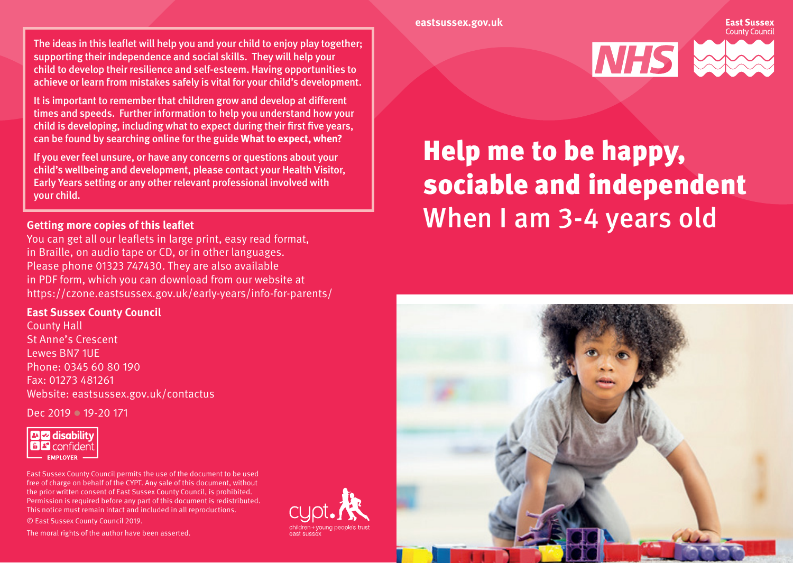#### **eastsussex.gov.uk**

The ideas in this leaflet will help you and your child to enjoy play together; supporting their independence and social skills. They will help your child to develop their resilience and self-esteem. Having opportunities to achieve or learn from mistakes safely is vital for your child's development.

It is important to remember that children grow and develop at different times and speeds. Further information to help you understand how your child is developing, including what to expect during their first five years, can be found by searching online for the guide **What to expect, when?**

If you ever feel unsure, or have any concerns or questions about your child's wellbeing and development, please contact your Health Visitor, Early Years setting or any other relevant professional involved with your child.

#### **Getting more copies of this leaflet**

You can get all our leaflets in large print, easy read format, in Braille, on audio tape or CD, or in other languages. Please phone 01323 747430. They are also available in PDF form, which you can download from our website at https://czone.eastsussex.gov.uk/early-years/info-for-parents/

#### **East Sussex County Council**

County Hall St Anne's Crescent Lewes BN7 1UE Phone: 0345 60 80 190 Fax: 01273 481261 Website: eastsussex.gov.uk/contactus

Dec 2019 **19-20 171** 



East Sussex County Council permits the use of the document to be used free of charge on behalf of the CYPT. Any sale of this document, without the prior written consent of East Sussex County Council, is prohibited. Permission is required before any part of this document is redistributed. This notice must remain intact and included in all reproductions. © East Sussex County Council 2019.

The moral rights of the author have been asserted.





# Help me to be happy, sociable and independent When I am 3-4 years old